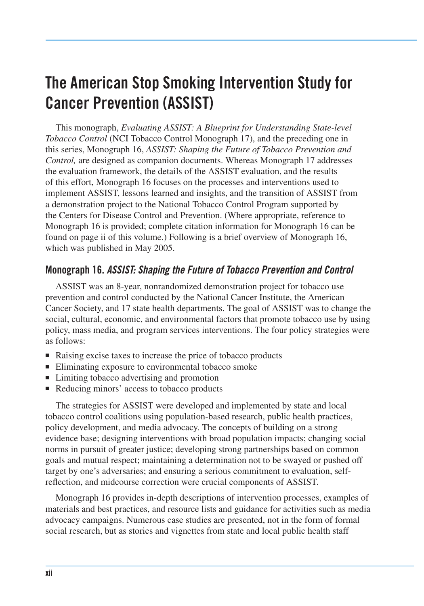## **The American Stop Smoking Intervention Study for Cancer Prevention (ASSIST)**

This monograph, *Evaluating ASSIST: A Blueprint for Understanding State-level Tobacco Control* (NCI Tobacco Control Monograph 17), and the preceding one in this series, Monograph 16, *ASSIST: Shaping the Future of Tobacco Prevention and Control,* are designed as companion documents. Whereas Monograph 17 addresses the evaluation framework, the details of the ASSIST evaluation, and the results of this effort, Monograph 16 focuses on the processes and interventions used to implement ASSIST, lessons learned and insights, and the transition of ASSIST from a demonstration project to the National Tobacco Control Program supported by the Centers for Disease Control and Prevention. (Where appropriate, reference to Monograph 16 is provided; complete citation information for Monograph 16 can be found on page ii of this volume.) Following is a brief overview of Monograph 16, which was published in May 2005.

## **Monograph 16.** *ASSIST: Shaping the Future of Tobacco Prevention and Control*

ASSIST was an 8-year, nonrandomized demonstration project for tobacco use prevention and control conducted by the National Cancer Institute, the American Cancer Society, and 17 state health departments. The goal of ASSIST was to change the social, cultural, economic, and environmental factors that promote tobacco use by using policy, mass media, and program services interventions. The four policy strategies were as follows:

- Raising excise taxes to increase the price of tobacco products
- Eliminating exposure to environmental tobacco smoke
- Limiting tobacco advertising and promotion
- Reducing minors' access to tobacco products

The strategies for ASSIST were developed and implemented by state and local tobacco control coalitions using population-based research, public health practices, policy development, and media advocacy. The concepts of building on a strong evidence base; designing interventions with broad population impacts; changing social norms in pursuit of greater justice; developing strong partnerships based on common goals and mutual respect; maintaining a determination not to be swayed or pushed off target by one's adversaries; and ensuring a serious commitment to evaluation, selfreflection, and midcourse correction were crucial components of ASSIST.

Monograph 16 provides in-depth descriptions of intervention processes, examples of materials and best practices, and resource lists and guidance for activities such as media advocacy campaigns. Numerous case studies are presented, not in the form of formal social research, but as stories and vignettes from state and local public health staff